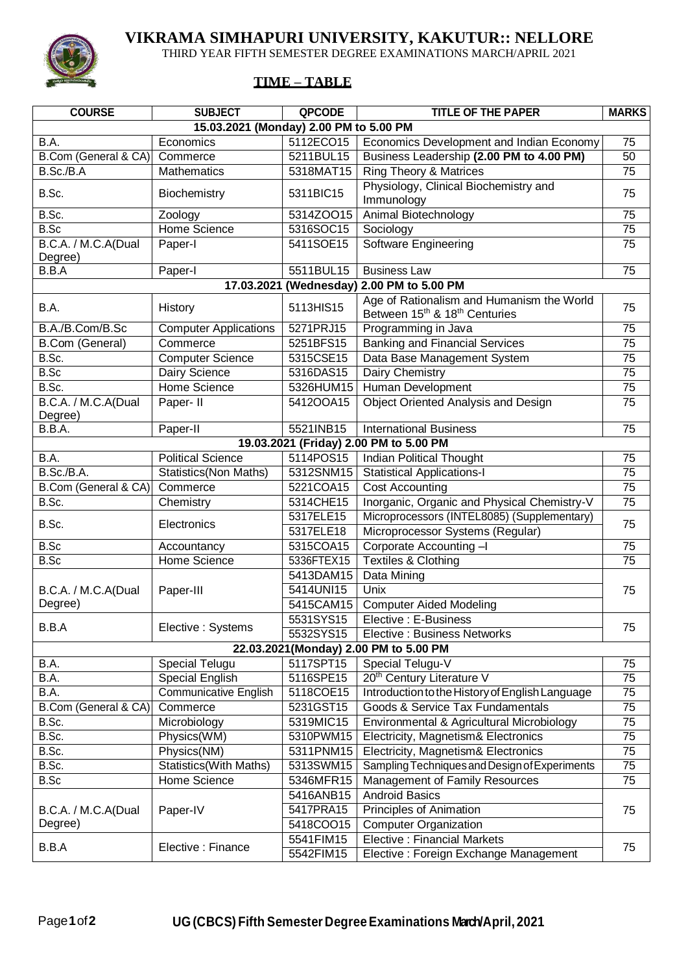

## **VIKRAMA SIMHAPURI UNIVERSITY, KAKUTUR:: NELLORE**

THIRD YEAR FIFTH SEMESTER DEGREE EXAMINATIONS MARCH/APRIL 2021

## **TIME – TABLE**

| <b>COURSE</b>                                | <b>SUBJECT</b>               | QPCODE     | <b>TITLE OF THE PAPER</b>                                                                          | <b>MARKS</b>    |  |  |  |
|----------------------------------------------|------------------------------|------------|----------------------------------------------------------------------------------------------------|-----------------|--|--|--|
| 15.03.2021 (Monday) 2.00 PM to 5.00 PM       |                              |            |                                                                                                    |                 |  |  |  |
| B.A.                                         | Economics                    | 5112ECO15  | Economics Development and Indian Economy                                                           | 75              |  |  |  |
| B.Com (General & CA)                         | Commerce                     | 5211BUL15  | Business Leadership (2.00 PM to 4.00 PM)                                                           | 50              |  |  |  |
| B.Sc./B.A                                    | Mathematics                  | 5318MAT15  | <b>Ring Theory &amp; Matrices</b>                                                                  | $\overline{75}$ |  |  |  |
| B.Sc.                                        | Biochemistry                 | 5311BIC15  | Physiology, Clinical Biochemistry and<br>Immunology                                                | 75              |  |  |  |
| B.Sc.                                        | Zoology                      | 5314ZOO15  | Animal Biotechnology                                                                               | 75              |  |  |  |
| B.Sc                                         | Home Science                 | 5316SOC15  | Sociology                                                                                          | 75              |  |  |  |
| B.C.A. / M.C.A(Dual<br>Degree)               | Paper-I                      | 5411SOE15  | Software Engineering                                                                               | 75              |  |  |  |
| B.B.A                                        | Paper-I                      | 5511BUL15  | <b>Business Law</b>                                                                                | 75              |  |  |  |
| 17.03.2021 (Wednesday)<br>2.00 PM to 5.00 PM |                              |            |                                                                                                    |                 |  |  |  |
| B.A.                                         | History                      | 5113HIS15  | Age of Rationalism and Humanism the World<br>Between 15 <sup>th</sup> & 18 <sup>th</sup> Centuries | 75              |  |  |  |
| B.A./B.Com/B.Sc                              | <b>Computer Applications</b> | 5271PRJ15  | Programming in Java                                                                                | $\overline{75}$ |  |  |  |
| B.Com (General)                              | Commerce                     | 5251BFS15  | <b>Banking and Financial Services</b>                                                              | $\overline{75}$ |  |  |  |
| B.Sc.                                        | <b>Computer Science</b>      | 5315CSE15  | Data Base Management System                                                                        | 75              |  |  |  |
| B.Sc                                         | Dairy Science                | 5316DAS15  | Dairy Chemistry                                                                                    | $\overline{75}$ |  |  |  |
| B.Sc.                                        | <b>Home Science</b>          | 5326HUM15  | Human Development                                                                                  | 75              |  |  |  |
| B.C.A. / M.C.A(Dual                          | Paper- II                    | 5412OOA15  | <b>Object Oriented Analysis and Design</b>                                                         | 75              |  |  |  |
| Degree)                                      |                              |            |                                                                                                    |                 |  |  |  |
| B.B.A.                                       | Paper-II                     | 5521INB15  | <b>International Business</b>                                                                      | 75              |  |  |  |
|                                              |                              |            | 19.03.2021 (Friday) 2.00 PM to 5.00 PM                                                             |                 |  |  |  |
| B.A.                                         | <b>Political Science</b>     | 5114POS15  | <b>Indian Political Thought</b>                                                                    | 75              |  |  |  |
| B.Sc./B.A.                                   | <b>Statistics(Non Maths)</b> | 5312SNM15  | <b>Statistical Applications-I</b>                                                                  | $\overline{75}$ |  |  |  |
| B.Com (General & CA)                         | Commerce                     | 5221COA15  | <b>Cost Accounting</b>                                                                             | $\overline{75}$ |  |  |  |
| B.Sc.                                        | Chemistry                    | 5314CHE15  | Inorganic, Organic and Physical Chemistry-V                                                        | 75              |  |  |  |
| B.Sc.                                        | Electronics                  | 5317ELE15  | Microprocessors (INTEL8085) (Supplementary)                                                        | 75              |  |  |  |
|                                              |                              | 5317ELE18  | Microprocessor Systems (Regular)                                                                   |                 |  |  |  |
| B.Sc                                         | Accountancy                  | 5315COA15  | Corporate Accounting -I                                                                            | $\overline{75}$ |  |  |  |
| B.Sc                                         | Home Science                 | 5336FTEX15 | Textiles & Clothing                                                                                | 75              |  |  |  |
|                                              | Paper-III                    | 5413DAM15  | Data Mining                                                                                        | 75              |  |  |  |
| B.C.A. / M.C.A(Dual<br>Degree)               |                              | 5414UNI15  | Unix                                                                                               |                 |  |  |  |
|                                              |                              | 5415CAM15  | <b>Computer Aided Modeling</b>                                                                     |                 |  |  |  |
| B.B.A                                        | Elective: Systems            | 5531SYS15  | Elective : E-Business                                                                              | 75              |  |  |  |
|                                              |                              | 5532SYS15  | Elective: Business Networks                                                                        |                 |  |  |  |
| 22.03.2021(Monday) 2.00 PM to 5.00 PM        |                              |            |                                                                                                    |                 |  |  |  |
| B.A.                                         | Special Telugu               | 5117SPT15  | Special Telugu-V                                                                                   | 75              |  |  |  |
| B.A.                                         | Special English              | 5116SPE15  | 20 <sup>th</sup> Century Literature V                                                              | $\overline{75}$ |  |  |  |
| B.A.                                         | <b>Communicative English</b> | 5118COE15  | Introduction to the History of English Language                                                    | 75              |  |  |  |
| B.Com (General & CA)                         | Commerce                     | 5231GST15  | Goods & Service Tax Fundamentals                                                                   | 75              |  |  |  |
| B.Sc.                                        | Microbiology                 | 5319MIC15  | Environmental & Agricultural Microbiology                                                          | 75              |  |  |  |
| B.Sc.                                        | Physics(WM)                  | 5310PWM15  | Electricity, Magnetism& Electronics                                                                | 75              |  |  |  |
| B.Sc.                                        | Physics(NM)                  | 5311PNM15  | Electricity, Magnetism& Electronics                                                                | 75              |  |  |  |
| B.Sc.                                        | Statistics(With Maths)       | 5313SWM15  | Sampling Techniques and Design of Experiments                                                      | 75              |  |  |  |
| B.Sc                                         | Home Science                 | 5346MFR15  | Management of Family Resources                                                                     | 75              |  |  |  |
| B.C.A. / M.C.A(Dual<br>Degree)               | Paper-IV                     | 5416ANB15  | <b>Android Basics</b>                                                                              | 75              |  |  |  |
|                                              |                              | 5417PRA15  | Principles of Animation                                                                            |                 |  |  |  |
|                                              |                              | 5418COO15  | <b>Computer Organization</b>                                                                       |                 |  |  |  |
| B.B.A                                        | Elective : Finance           | 5541FIM15  | <b>Elective: Financial Markets</b>                                                                 | 75              |  |  |  |
|                                              |                              | 5542FIM15  | Elective: Foreign Exchange Management                                                              |                 |  |  |  |